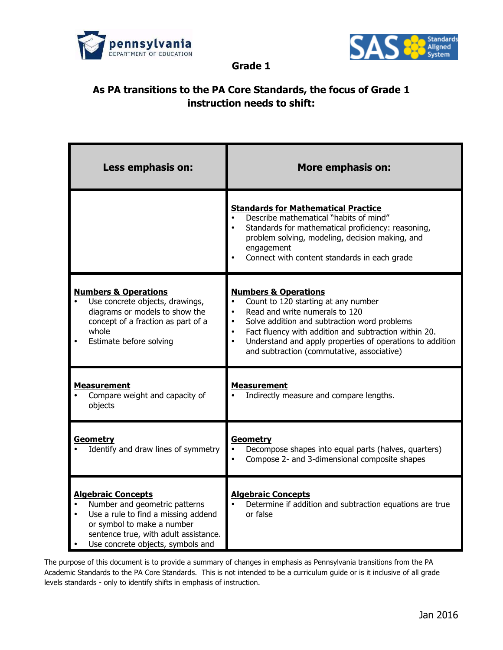



**Grade 1**

## **As PA transitions to the PA Core Standards, the focus of Grade 1 instruction needs to shift:**

| Less emphasis on:                                                                                                                                                                                             | <b>More emphasis on:</b>                                                                                                                                                                                                                                                                                                     |
|---------------------------------------------------------------------------------------------------------------------------------------------------------------------------------------------------------------|------------------------------------------------------------------------------------------------------------------------------------------------------------------------------------------------------------------------------------------------------------------------------------------------------------------------------|
|                                                                                                                                                                                                               | <b>Standards for Mathematical Practice</b><br>Describe mathematical "habits of mind"<br>Standards for mathematical proficiency: reasoning,<br>problem solving, modeling, decision making, and<br>engagement<br>Connect with content standards in each grade                                                                  |
| <b>Numbers &amp; Operations</b><br>Use concrete objects, drawings,<br>diagrams or models to show the<br>concept of a fraction as part of a<br>whole<br>Estimate before solving                                | <b>Numbers &amp; Operations</b><br>Count to 120 starting at any number<br>Read and write numerals to 120<br>Solve addition and subtraction word problems<br>Fact fluency with addition and subtraction within 20.<br>Understand and apply properties of operations to addition<br>and subtraction (commutative, associative) |
| <b>Measurement</b><br>Compare weight and capacity of<br>objects                                                                                                                                               | <b>Measurement</b><br>Indirectly measure and compare lengths.                                                                                                                                                                                                                                                                |
| <b>Geometry</b><br>Identify and draw lines of symmetry                                                                                                                                                        | <b>Geometry</b><br>Decompose shapes into equal parts (halves, quarters)<br>Compose 2- and 3-dimensional composite shapes                                                                                                                                                                                                     |
| <b>Algebraic Concepts</b><br>Number and geometric patterns<br>Use a rule to find a missing addend<br>or symbol to make a number<br>sentence true, with adult assistance.<br>Use concrete objects, symbols and | <b>Algebraic Concepts</b><br>Determine if addition and subtraction equations are true<br>or false                                                                                                                                                                                                                            |

The purpose of this document is to provide a summary of changes in emphasis as Pennsylvania transitions from the PA Academic Standards to the PA Core Standards. This is not intended to be a curriculum guide or is it inclusive of all grade levels standards - only to identify shifts in emphasis of instruction.